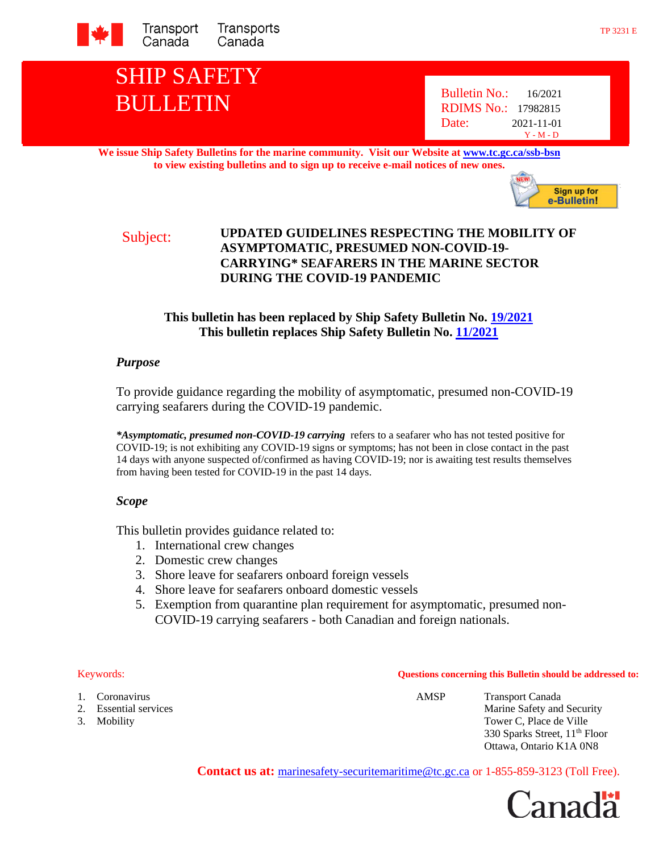

# SHIP SAFETY BULLETIN Bulletin No.: 16/2021

RDIMS No.: 17982815 Date: 2021-11-01 Y - M - D

**We issue Ship Safety Bulletins for the marine community. Visit our Website a[t www.tc.gc.ca/ssb-bsn](http://www.tc.gc.ca/ssb-bsn) to view existing bulletins and to sign up to receive e-mail notices of new ones.**



#### Subject: **UPDATED GUIDELINES RESPECTING THE MOBILITY OF ASYMPTOMATIC, PRESUMED NON-COVID-19- CARRYING\* SEAFARERS IN THE MARINE SECTOR DURING THE COVID-19 PANDEMIC**

### **This bulletin has been replaced by Ship Safety Bulletin No. [19/2021](https://tc.canada.ca/en/marine-transportation/marine-safety/ship-safety-bulletins/updated-guidelines-respecting-mobility-asymptomatic-presumed-non-covid-19-carrying-seafarers-marine-sector-during-covid-19-pandemic-november-30-2021-ssb-no-19-2021) This bulletin replaces Ship Safety Bulletin No. [11/2021](https://tc.canada.ca/en/marine-transportation/marine-safety/ship-safety-bulletins/updated-guidelines-respecting-mobility-asymptomatic-presumed-non-covid-19-carrying-seafarers-marine-sector-during-covid-19-pandemic-ssb-no-11-2021)**

#### *Purpose*

To provide guidance regarding the mobility of asymptomatic, presumed non-COVID-19 carrying seafarers during the COVID-19 pandemic.

*\*Asymptomatic, presumed non-COVID-19 carrying* refers to a seafarer who has not tested positive for COVID-19; is not exhibiting any COVID-19 signs or symptoms; has not been in close contact in the past 14 days with anyone suspected of/confirmed as having COVID-19; nor is awaiting test results themselves from having been tested for COVID-19 in the past 14 days.

#### *Scope*

This bulletin provides guidance related to:

- 1. International crew changes
- 2. Domestic crew changes
- 3. Shore leave for seafarers onboard foreign vessels
- 4. Shore leave for seafarers onboard domestic vessels
- 5. Exemption from quarantine plan requirement for asymptomatic, presumed non-COVID-19 carrying seafarers - both Canadian and foreign nationals.

- 
- 
- 

Keywords: **Questions concerning this Bulletin should be addressed to:**

1. Coronavirus AMSP Transport Canada 2. Essential services Marine Safety and Security 3. Mobility Tower C, Place de Ville 330 Sparks Street, 11<sup>th</sup> Floor Ottawa, Ontario K1A 0N8

Contact us at: **[marinesafety-securitemaritime@tc.gc.ca](mailto:marinesafety-securitymaritime@tc.gc.ca)** or 1-855-859-3123 (Toll Free).

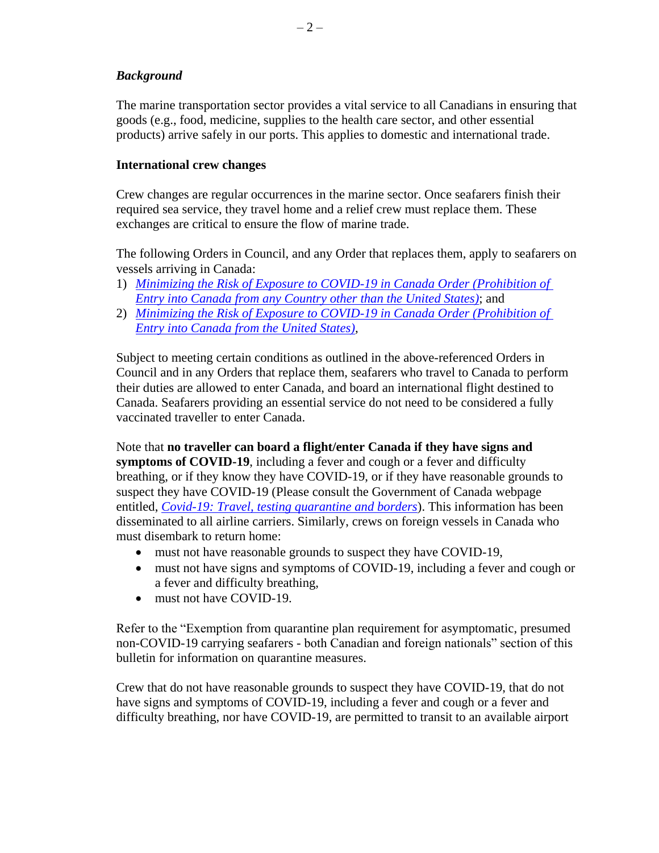#### *Background*

The marine transportation sector provides a vital service to all Canadians in ensuring that goods (e.g., food, medicine, supplies to the health care sector, and other essential products) arrive safely in our ports. This applies to domestic and international trade.

#### **International crew changes**

Crew changes are regular occurrences in the marine sector. Once seafarers finish their required sea service, they travel home and a relief crew must replace them. These exchanges are critical to ensure the flow of marine trade.

The following Orders in Council, and any Order that replaces them, apply to seafarers on vessels arriving in Canada:

- 1) *[Minimizing the Risk of Exposure to COVID-19 in Canada Order \(Prohibition of](https://orders-in-council.canada.ca/attachment.php?attach=41231&lang=en)  [Entry into Canada from any Country other than the United States\)](https://orders-in-council.canada.ca/attachment.php?attach=41231&lang=en)*; and
- 2) *[Minimizing the Risk of Exposure to COVID-19 in Canada Order \(Prohibition of](https://orders-in-council.canada.ca/attachment.php?attach=41230&lang=en)  [Entry into Canada from the United States\),](https://orders-in-council.canada.ca/attachment.php?attach=41230&lang=en)*

Subject to meeting certain conditions as outlined in the above-referenced Orders in Council and in any Orders that replace them, seafarers who travel to Canada to perform their duties are allowed to enter Canada, and board an international flight destined to Canada. Seafarers providing an essential service do not need to be considered a fully vaccinated traveller to enter Canada.

Note that **no traveller can board a flight/enter Canada if they have signs and symptoms of COVID-19**, including a fever and cough or a fever and difficulty breathing, or if they know they have COVID-19, or if they have reasonable grounds to suspect they have COVID-19 (Please consult the Government of Canada webpage entitled, *[Covid-19: Travel, testing quarantine and borders](https://travel.gc.ca/travel-covid)*). This information has been disseminated to all airline carriers. Similarly, crews on foreign vessels in Canada who must disembark to return home:

- must not have reasonable grounds to suspect they have COVID-19,
- must not have signs and symptoms of COVID-19, including a fever and cough or a fever and difficulty breathing,
- must not have COVID-19.

Refer to the "Exemption from quarantine plan requirement for asymptomatic, presumed non-COVID-19 carrying seafarers - both Canadian and foreign nationals" section of this bulletin for information on quarantine measures.

Crew that do not have reasonable grounds to suspect they have COVID-19, that do not have signs and symptoms of COVID-19, including a fever and cough or a fever and difficulty breathing, nor have COVID-19, are permitted to transit to an available airport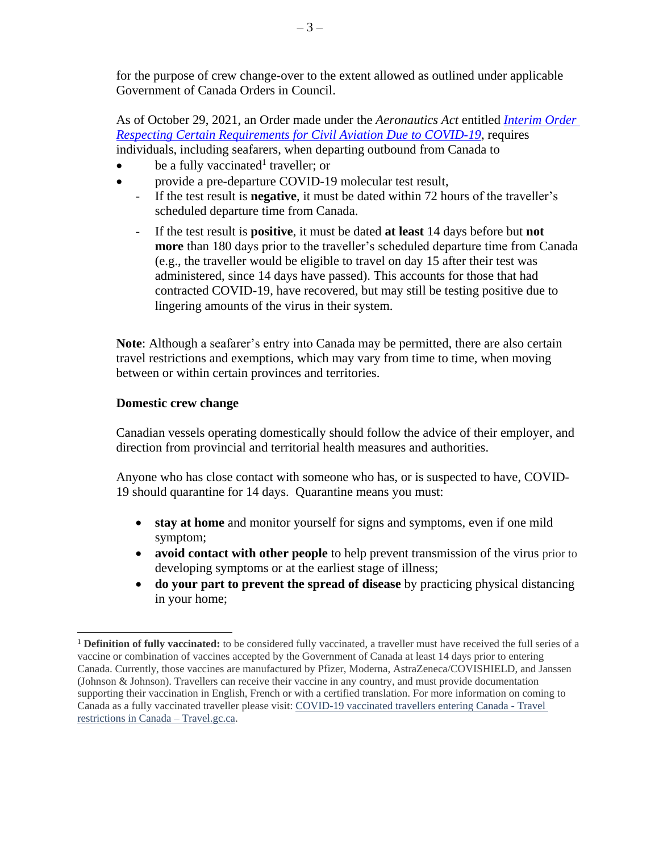for the purpose of crew change-over to the extent allowed as outlined under applicable Government of Canada Orders in Council.

As of October 29, 2021, an Order made under the *Aeronautics Act* entitled *[Interim Order](https://tc.canada.ca/en/initiatives/covid-19-measures-updates-guidance-issued-transport-canada/covid-19-measures-updates-guidance-aviation-issued-transport-canada#toc3-3)  [Respecting Certain Requirements for Civil Aviation Due](https://tc.canada.ca/en/initiatives/covid-19-measures-updates-guidance-issued-transport-canada/covid-19-measures-updates-guidance-aviation-issued-transport-canada#toc3-3) to COVID-19*, requires individuals, including seafarers, when departing outbound from Canada to

- $\bullet$  be a fully vaccinated<sup>1</sup> traveller; or
- provide a pre-departure COVID-19 molecular test result,
	- If the test result is **negative**, it must be dated within 72 hours of the traveller's scheduled departure time from Canada.
	- If the test result is **positive**, it must be dated **at least** 14 days before but **not more** than 180 days prior to the traveller's scheduled departure time from Canada (e.g., the traveller would be eligible to travel on day 15 after their test was administered, since 14 days have passed). This accounts for those that had contracted COVID-19, have recovered, but may still be testing positive due to lingering amounts of the virus in their system.

**Note**: Although a seafarer's entry into Canada may be permitted, there are also certain travel restrictions and exemptions, which may vary from time to time, when moving between or within certain [provinces and territories.](https://travel.gc.ca/travel-covid/travel-restrictions/provinces)

#### **Domestic crew change**

 $\overline{a}$ 

Canadian vessels operating domestically should follow the advice of their employer, and direction from provincial and territorial health measures and authorities.

Anyone who has close contact with someone who has, or is suspected to have, COVID-19 should quarantine for 14 days. Quarantine means you must:

- **stay at home** and monitor yourself for signs and symptoms, even if one mild symptom;
- **avoid contact with other people** to help prevent transmission of the virus prior to developing symptoms or at the earliest stage of illness;
- **do your part to prevent the spread of disease** by practicing physical distancing in your home;

<sup>1</sup> **Definition of fully vaccinated:** to be considered fully vaccinated, a traveller must have received the full series of a vaccine or combination of vaccines accepted by the Government of Canada at least 14 days prior to entering Canada. Currently, those vaccines are manufactured by Pfizer, Moderna, AstraZeneca/COVISHIELD, and Janssen (Johnson & Johnson). Travellers can receive their vaccine in any country, and must provide documentation supporting their vaccination in English, French or with a certified translation. For more information on coming to Canada as a fully vaccinated traveller please visit: [COVID-19 vaccinated travellers entering Canada -](https://travel.gc.ca/travel-covid/travel-restrictions/covid-vaccinated-travellers-entering-canada) Travel [restrictions in Canada –](https://travel.gc.ca/travel-covid/travel-restrictions/covid-vaccinated-travellers-entering-canada) Travel.gc.ca.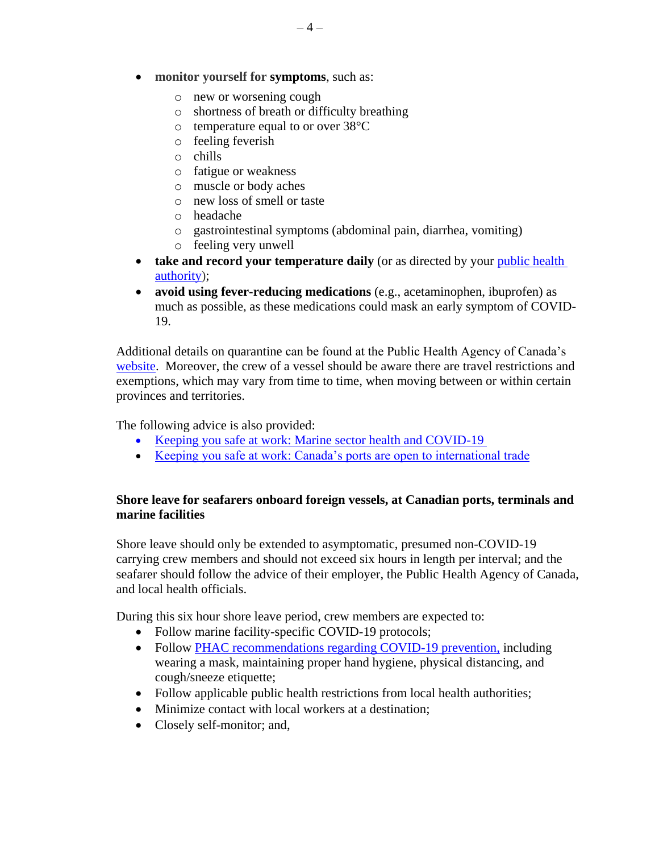- o new or worsening cough
- o shortness of breath or difficulty breathing
- o temperature equal to or over 38°C
- o feeling feverish
- o chills
- o fatigue or weakness
- o muscle or body aches
- o new loss of smell or taste
- o headache
- o gastrointestinal symptoms (abdominal pain, diarrhea, vomiting)
- o feeling very unwell
- **take and record your temperature daily** (or as directed by your [public health](https://www.canada.ca/en/public-health/services/diseases/2019-novel-coronavirus-infection/symptoms/provincial-territorial-resources-covid-19.html)  [authority\)](https://www.canada.ca/en/public-health/services/diseases/2019-novel-coronavirus-infection/symptoms/provincial-territorial-resources-covid-19.html);
- **avoid using fever-reducing medications** (e.g., acetaminophen, ibuprofen) as much as possible, as these medications could mask an early symptom of COVID-19.

Additional details on quarantine can be found at the Public Health Agency of Canada's [website.](https://www.canada.ca/en/public-health/services/publications/diseases-conditions/coronavirus-disease-covid-19-how-to-self-isolate-home-exposed-no-symptoms.html) Moreover, the crew of a vessel should be aware there are travel restrictions and exemptions, which may vary from time to time, when moving between or within certain [provinces and territories.](https://travel.gc.ca/travel-covid/travel-restrictions/provinces)

The following advice is also provided:

- Keeping you safe at work: Marine sector health and COVID-19
- [Keeping you safe at work: Canada's ports are open to international trade](https://publications.gc.ca/collections/collection_2020/tc/T29-157-2-2020-eng.pdf)

## **Shore leave for seafarers onboard foreign vessels, at Canadian ports, terminals and marine facilities**

Shore leave should only be extended to asymptomatic, presumed non-COVID-19 carrying crew members and should not exceed six hours in length per interval; and the seafarer should follow the advice of their employer, the Public Health Agency of Canada, and local health officials.

During this six hour shore leave period, crew members are expected to:

- Follow marine facility-specific COVID-19 protocols;
- Follow [PHAC recommendations regarding COVID-19 prevention,](https://www.canada.ca/en/public-health/services/diseases/2019-novel-coronavirus-infection/prevention-risks.html) including wearing a mask, maintaining proper hand hygiene, physical distancing, and cough/sneeze etiquette;
- Follow applicable public health restrictions from local health authorities;
- Minimize contact with local workers at a destination:
- Closely [self-monitor;](https://www.canada.ca/en/public-health/services/publications/diseases-conditions/self-monitoring-self-isolation-isolation-for-covid-19.html) and,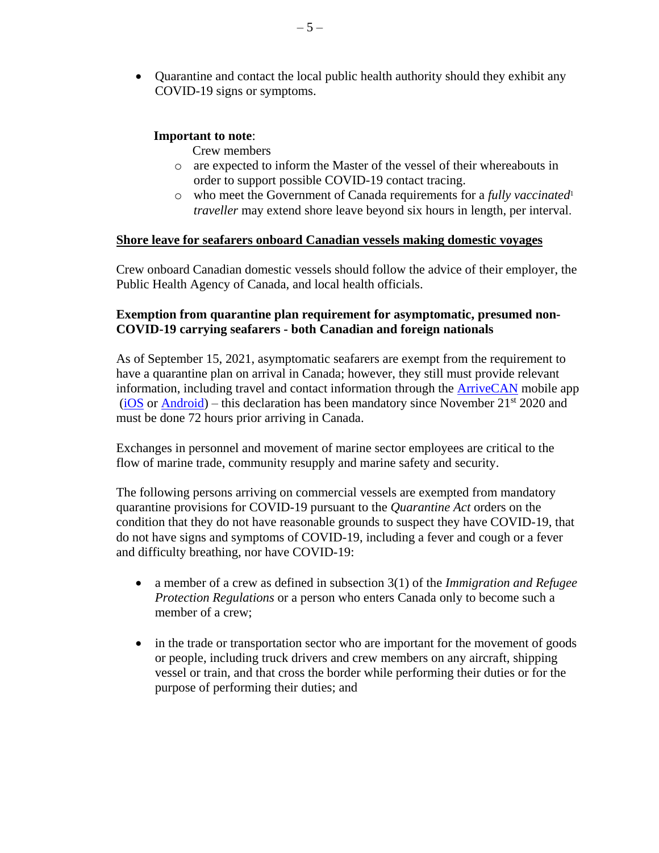Quarantine and contact the local public health authority should they exhibit any COVID-19 signs or symptoms.

#### **Important to note**:

Crew members

- o are expected to inform the Master of the vessel of their whereabouts in order to support possible COVID-19 contact tracing.
- o who meet the Government of Canada requirements for a *fully vaccinated*<sup>1</sup> *traveller* may extend shore leave beyond six hours in length, per interval.

#### **Shore leave for seafarers onboard Canadian vessels making domestic voyages**

Crew onboard Canadian domestic vessels should follow the advice of their employer, the Public Health Agency of Canada, and local health officials.

#### **Exemption from quarantine plan requirement for asymptomatic, presumed non-COVID-19 carrying seafarers - both Canadian and foreign nationals**

As of September 15, 2021, asymptomatic seafarers are exempt from the requirement to have a quarantine plan on arrival in Canada; however, they still must provide relevant information, including travel and contact information through the [ArriveCAN](https://www.canada.ca/en/public-health/services/diseases/coronavirus-disease-covid-19/arrivecan.html) mobile app  $(iOS \text{ or } Android)$  $(iOS \text{ or } Android)$  $(iOS \text{ or } Android)$  – this declaration has been mandatory since November 21<sup>st</sup> 2020 and must be done 72 hours prior arriving in Canada.

Exchanges in personnel and movement of marine sector employees are critical to the flow of marine trade, community resupply and marine safety and security.

The following persons arriving on commercial vessels are exempted from mandatory quarantine provisions for COVID-19 pursuant to the *Quarantine Act* orders on the condition that they do not have reasonable grounds to suspect they have COVID-19, that do not have signs and symptoms of COVID-19, including a fever and cough or a fever and difficulty breathing, nor have COVID-19:

- a member of a crew as defined in subsection 3(1) of the *Immigration and Refugee Protection Regulations* or a person who enters Canada only to become such a member of a crew;
- in the trade or transportation sector who are important for the movement of goods or people, including truck drivers and crew members on any aircraft, shipping vessel or train, and that cross the border while performing their duties or for the purpose of performing their duties; and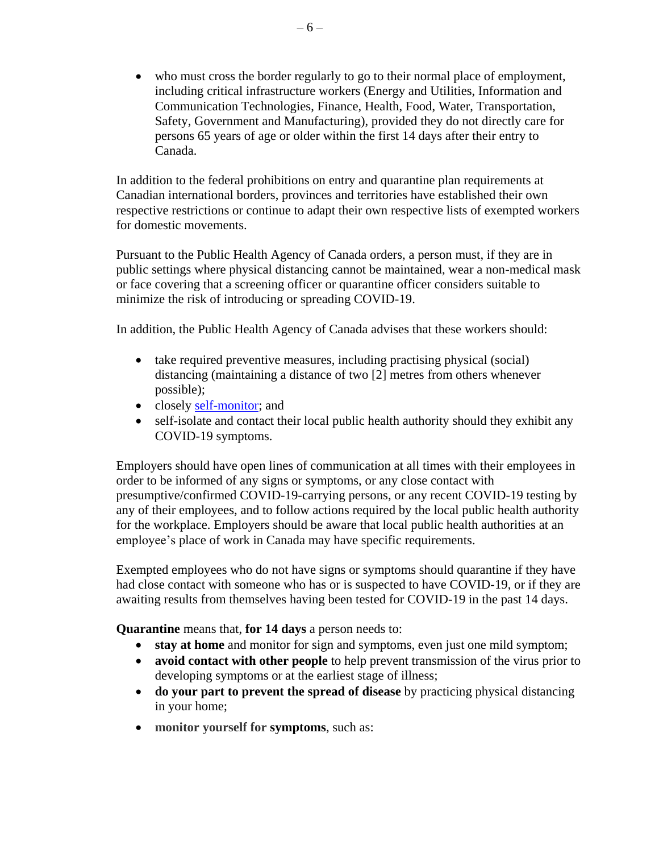who must cross the border regularly to go to their normal place of employment, including critical infrastructure workers (Energy and Utilities, Information and Communication Technologies, Finance, Health, Food, Water, Transportation, Safety, Government and Manufacturing), provided they do not directly care for persons 65 years of age or older within the first 14 days after their entry to Canada.

In addition to the federal prohibitions on entry and quarantine plan requirements at Canadian international borders, provinces and territories have established their own respective restrictions or continue to adapt their own respective lists of exempted workers for domestic movements.

Pursuant to the Public Health Agency of Canada orders, a person must, if they are in public settings where physical distancing cannot be maintained, wear a non-medical mask or face covering that a screening officer or quarantine officer considers suitable to minimize the risk of introducing or spreading COVID-19.

In addition, the Public Health Agency of Canada advises that these workers should:

- take required preventive measures, including practising physical (social) distancing (maintaining a distance of two [2] metres from others whenever possible);
- closely [self-monitor;](https://www.canada.ca/en/public-health/services/publications/diseases-conditions/self-monitoring-self-isolation-isolation-for-covid-19.html) and
- self-isolate and contact their local public health authority should they exhibit any COVID-19 symptoms.

Employers should have open lines of communication at all times with their employees in order to be informed of any signs or symptoms, or any close contact with presumptive/confirmed COVID-19-carrying persons, or any recent COVID-19 testing by any of their employees, and to follow actions required by the local public health authority for the workplace. Employers should be aware that local public health authorities at an employee's place of work in Canada may have specific requirements.

Exempted employees who do not have signs or symptoms should quarantine if they have had close contact with someone who has or is suspected to have COVID-19, or if they are awaiting results from themselves having been tested for COVID-19 in the past 14 days.

**Quarantine** means that, **for 14 days** a person needs to:

- **stay at home** and monitor for sign and symptoms, even just one mild symptom;
- **avoid contact with other people** to help prevent transmission of the virus prior to developing symptoms or at the earliest stage of illness;
- **do your part to prevent the spread of disease** by practicing physical distancing in your home;
- **monitor yourself for [symptoms](https://www.canada.ca/en/public-health/services/diseases/2019-novel-coronavirus-infection/symptoms.html#s)**, such as: